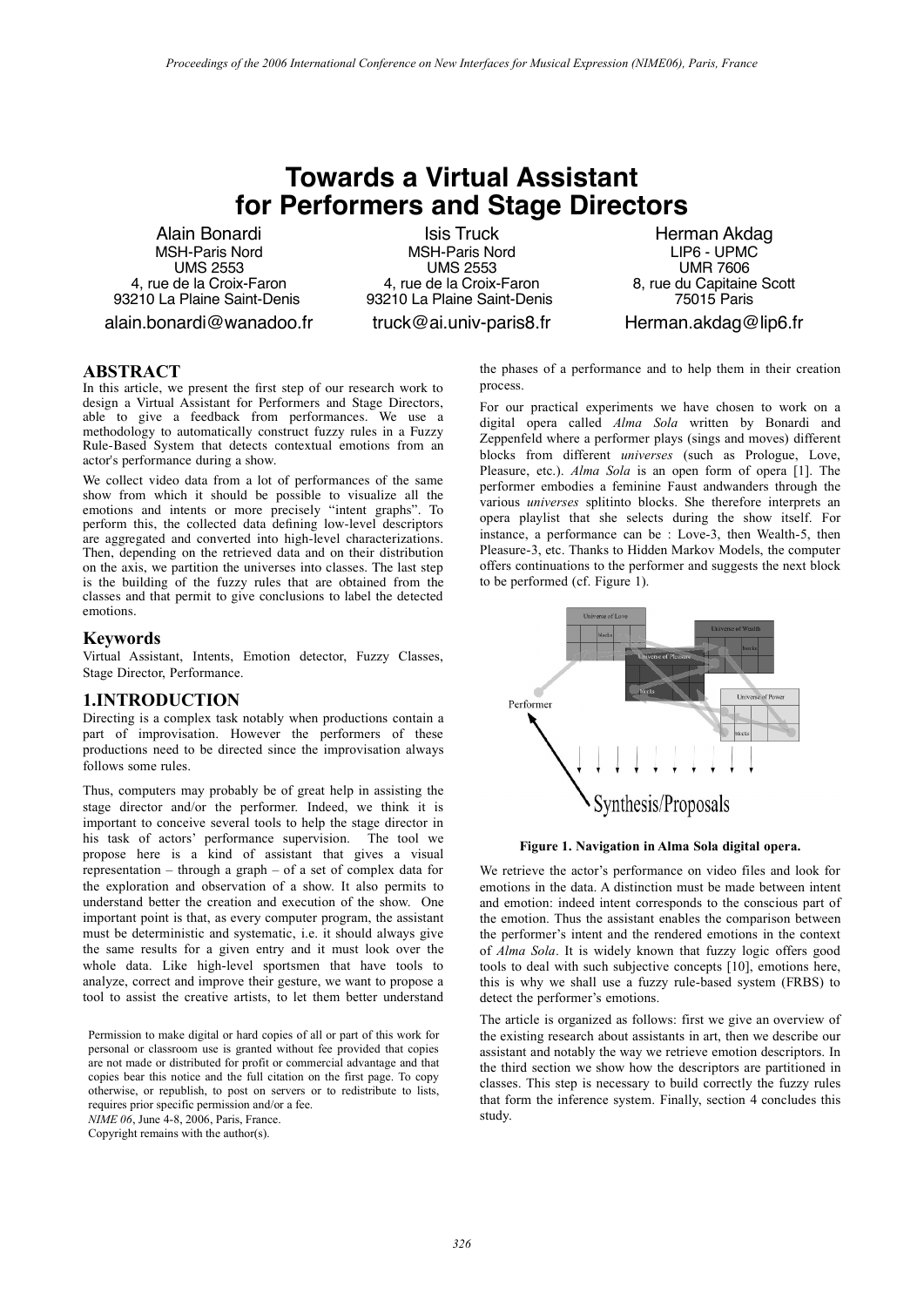# **Towards a Virtual Assistant for Performers and Stage Directors**

Alain Bonardi MSH-Paris Nord UMS 2553 4, rue de la Croix-Faron 93210 La Plaine Saint-Denis

alain.bonardi@wanadoo.fr

Isis Truck MSH-Paris Nord UMS 2553 4, rue de la Croix-Faron 93210 La Plaine Saint-Denis

truck@ai.univ-paris8.fr

Herman Akdag LIP6 - UPMC UMR 7606 8, rue du Capitaine Scott 75015 Paris Herman.akdag@lip6.fr

# **ABSTRACT**

In this article, we present the first step of our research work to design a Virtual Assistant for Performers and Stage Directors, able to give a feedback from performances. We use a methodology to automatically construct fuzzy rules in a Fuzzy Rule-Based System that detects contextual emotions from an actor's performance during a show.

We collect video data from a lot of performances of the same show from which it should be possible to visualize all the emotions and intents or more precisely "intent graphs". To perform this, the collected data defining low-level descriptors are aggregated and converted into high-level characterizations. Then, depending on the retrieved data and on their distribution on the axis, we partition the universes into classes. The last step is the building of the fuzzy rules that are obtained from the classes and that permit to give conclusions to label the detected emotions.

### **Keywords**

Virtual Assistant, Intents, Emotion detector, Fuzzy Classes, Stage Director, Performance.

#### **1.INTRODUCTION**

Directing is a complex task notably when productions contain a part of improvisation. However the performers of these productions need to be directed since the improvisation always follows some rules.

Thus, computers may probably be of great help in assisting the stage director and/or the performer. Indeed, we think it is important to conceive several tools to help the stage director in his task of actors' performance supervision. The tool we propose here is a kind of assistant that gives a visual representation – through a graph – of a set of complex data for the exploration and observation of a show. It also permits to understand better the creation and execution of the show. One important point is that, as every computer program, the assistant must be deterministic and systematic, i.e. it should always give the same results for a given entry and it must look over the whole data. Like high-level sportsmen that have tools to analyze, correct and improve their gesture, we want to propose a tool to assist the creative artists, to let them better understand

Permission to make digital or hard copies of all or part of this work for personal or classroom use is granted without fee provided that copies are not made or distributed for profit or commercial advantage and that copies bear this notice and the full citation on the first page. To copy otherwise, or republish, to post on servers or to redistribute to lists, requires prior specific permission and/or a fee.

*NIME 06*, June 4-8, 2006, Paris, France.

Copyright remains with the author(s).

the phases of a performance and to help them in their creation process.

For our practical experiments we have chosen to work on a digital opera called *Alma Sola* written by Bonardi and Zeppenfeld where a performer plays (sings and moves) different blocks from different *universes* (such as Prologue, Love, Pleasure, etc.). *Alma Sola* is an open form of opera [1]. The performer embodies a feminine Faust andwanders through the various *universes* splitinto blocks. She therefore interprets an opera playlist that she selects during the show itself. For instance, a performance can be : Love-3, then Wealth-5, then Pleasure-3, etc. Thanks to Hidden Markov Models, the computer offers continuations to the performer and suggests the next block to be performed (cf. Figure 1).



**Figure 1. Navigation in Alma Sola digital opera.**

We retrieve the actor's performance on video files and look for emotions in the data. A distinction must be made between intent and emotion: indeed intent corresponds to the conscious part of the emotion. Thus the assistant enables the comparison between the performer's intent and the rendered emotions in the context of *Alma Sola*. It is widely known that fuzzy logic offers good tools to deal with such subjective concepts [10], emotions here, this is why we shall use a fuzzy rule-based system (FRBS) to detect the performer's emotions.

The article is organized as follows: first we give an overview of the existing research about assistants in art, then we describe our assistant and notably the way we retrieve emotion descriptors. In the third section we show how the descriptors are partitioned in classes. This step is necessary to build correctly the fuzzy rules that form the inference system. Finally, section 4 concludes this study.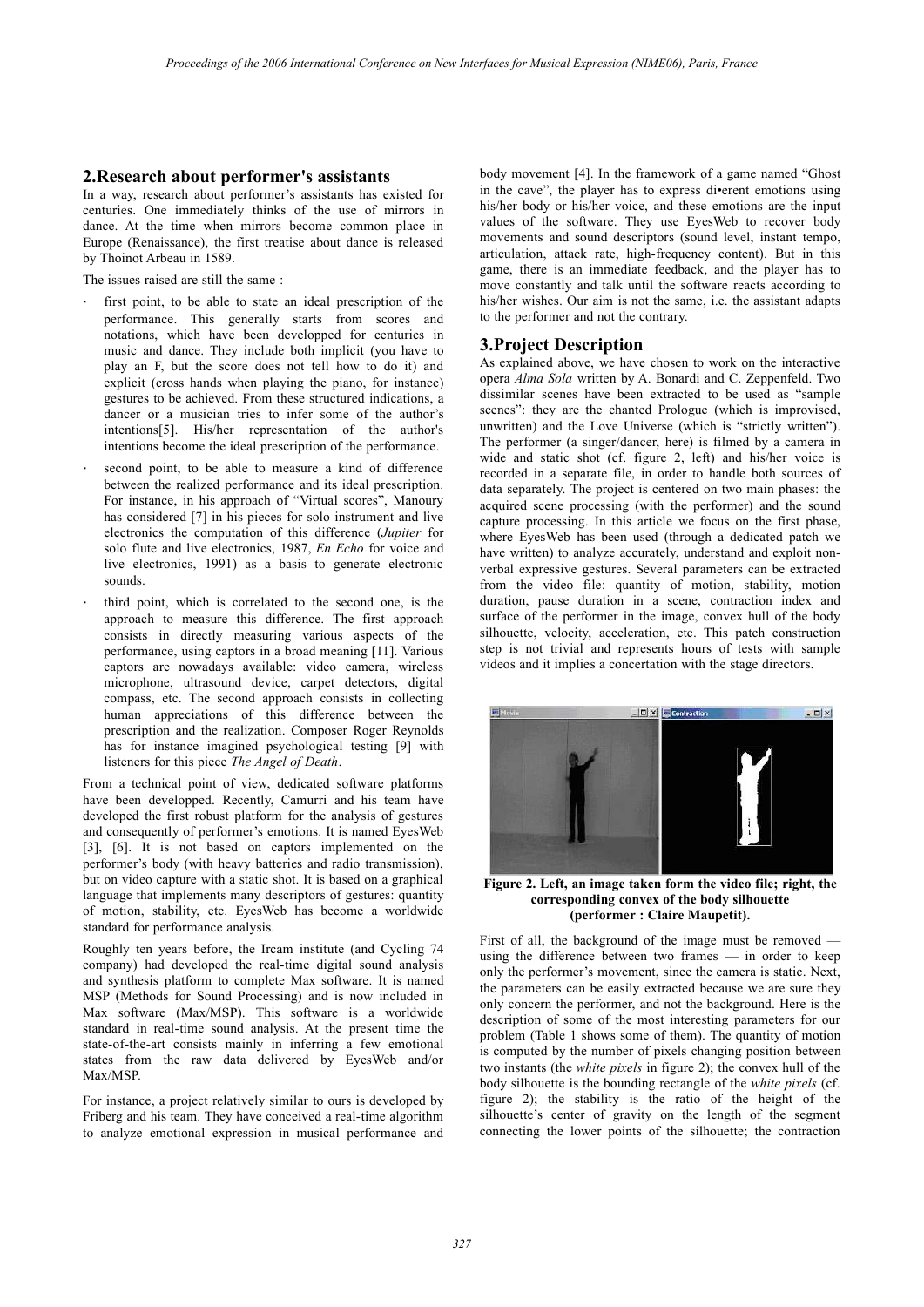# **2.Research about performer's assistants**

In a way, research about performer's assistants has existed for centuries. One immediately thinks of the use of mirrors in dance. At the time when mirrors become common place in Europe (Renaissance), the first treatise about dance is released by Thoinot Arbeau in 1589.

The issues raised are still the same :

- first point, to be able to state an ideal prescription of the performance. This generally starts from scores and notations, which have been developped for centuries in music and dance. They include both implicit (you have to play an F, but the score does not tell how to do it) and explicit (cross hands when playing the piano, for instance) gestures to be achieved. From these structured indications, a dancer or a musician tries to infer some of the author's intentions[5]. His/her representation of the author's intentions become the ideal prescription of the performance.
- second point, to be able to measure a kind of difference between the realized performance and its ideal prescription. For instance, in his approach of "Virtual scores", Manoury has considered [7] in his pieces for solo instrument and live electronics the computation of this difference (*Jupiter* for solo flute and live electronics, 1987, *En Echo* for voice and live electronics, 1991) as a basis to generate electronic sounds.
- third point, which is correlated to the second one, is the approach to measure this difference. The first approach consists in directly measuring various aspects of the performance, using captors in a broad meaning [11]. Various captors are nowadays available: video camera, wireless microphone, ultrasound device, carpet detectors, digital compass, etc. The second approach consists in collecting human appreciations of this difference between the prescription and the realization. Composer Roger Reynolds has for instance imagined psychological testing [9] with listeners for this piece *The Angel of Death*.

From a technical point of view, dedicated software platforms have been developped. Recently, Camurri and his team have developed the first robust platform for the analysis of gestures and consequently of performer's emotions. It is named EyesWeb [3], [6]. It is not based on captors implemented on the performer's body (with heavy batteries and radio transmission), but on video capture with a static shot. It is based on a graphical language that implements many descriptors of gestures: quantity of motion, stability, etc. EyesWeb has become a worldwide standard for performance analysis.

Roughly ten years before, the Ircam institute (and Cycling 74 company) had developed the real-time digital sound analysis and synthesis platform to complete Max software. It is named MSP (Methods for Sound Processing) and is now included in Max software (Max/MSP). This software is a worldwide standard in real-time sound analysis. At the present time the state-of-the-art consists mainly in inferring a few emotional states from the raw data delivered by EyesWeb and/or Max/MSP.

For instance, a project relatively similar to ours is developed by Friberg and his team. They have conceived a real-time algorithm to analyze emotional expression in musical performance and

body movement [4]. In the framework of a game named "Ghost in the cave", the player has to express di•erent emotions using his/her body or his/her voice, and these emotions are the input values of the software. They use EyesWeb to recover body movements and sound descriptors (sound level, instant tempo, articulation, attack rate, high-frequency content). But in this game, there is an immediate feedback, and the player has to move constantly and talk until the software reacts according to his/her wishes. Our aim is not the same, i.e. the assistant adapts to the performer and not the contrary.

# **3.Project Description**

As explained above, we have chosen to work on the interactive opera *Alma Sola* written by A. Bonardi and C. Zeppenfeld. Two dissimilar scenes have been extracted to be used as "sample scenes": they are the chanted Prologue (which is improvised, unwritten) and the Love Universe (which is "strictly written"). The performer (a singer/dancer, here) is filmed by a camera in wide and static shot (cf. figure 2, left) and his/her voice is recorded in a separate file, in order to handle both sources of data separately. The project is centered on two main phases: the acquired scene processing (with the performer) and the sound capture processing. In this article we focus on the first phase, where EyesWeb has been used (through a dedicated patch we have written) to analyze accurately, understand and exploit nonverbal expressive gestures. Several parameters can be extracted from the video file: quantity of motion, stability, motion duration, pause duration in a scene, contraction index and surface of the performer in the image, convex hull of the body silhouette, velocity, acceleration, etc. This patch construction step is not trivial and represents hours of tests with sample videos and it implies a concertation with the stage directors.



**Figure 2. Left, an image taken form the video file; right, the corresponding convex of the body silhouette (performer : Claire Maupetit).**

First of all, the background of the image must be removed using the difference between two frames — in order to keep only the performer's movement, since the camera is static. Next, the parameters can be easily extracted because we are sure they only concern the performer, and not the background. Here is the description of some of the most interesting parameters for our problem (Table 1 shows some of them). The quantity of motion is computed by the number of pixels changing position between two instants (the *white pixels* in figure 2); the convex hull of the body silhouette is the bounding rectangle of the *white pixels* (cf. figure 2); the stability is the ratio of the height of the silhouette's center of gravity on the length of the segment connecting the lower points of the silhouette; the contraction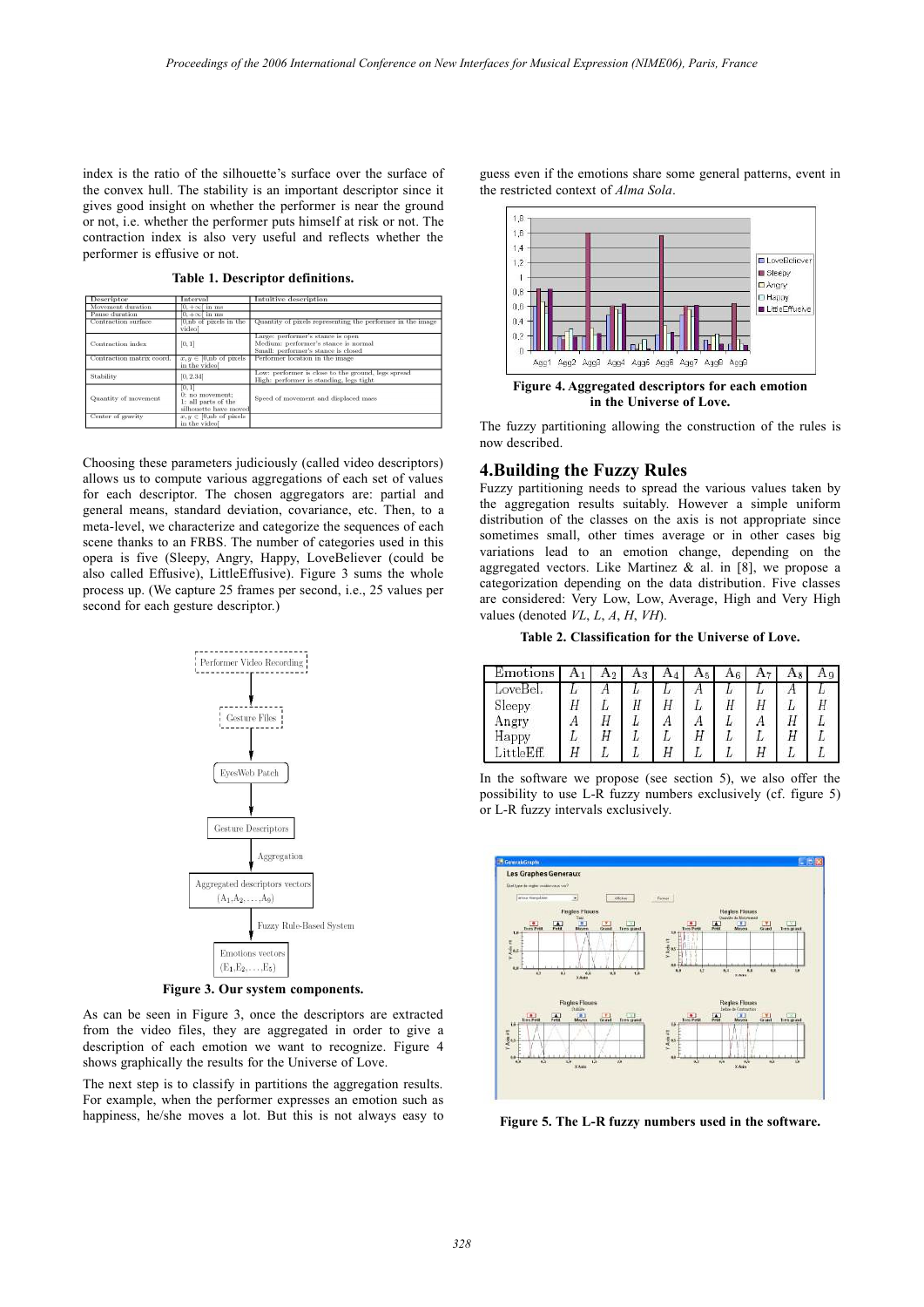index is the ratio of the silhouette's surface over the surface of the convex hull. The stability is an important descriptor since it gives good insight on whether the performer is near the ground or not, i.e. whether the performer puts himself at risk or not. The contraction index is also very useful and reflects whether the performer is effusive or not.

| Descriptor                                                                                        | Interval                                             | Intuitive description                                                                                            |  |  |  |  |  |
|---------------------------------------------------------------------------------------------------|------------------------------------------------------|------------------------------------------------------------------------------------------------------------------|--|--|--|--|--|
| Movement duration                                                                                 | $[0, +\infty)$ in ms                                 |                                                                                                                  |  |  |  |  |  |
| Pause duration                                                                                    | $[0, +\infty]$ in ms                                 |                                                                                                                  |  |  |  |  |  |
| Contraction surface                                                                               | $[0, nb]$ of pixels in the<br>videol                 | Quantity of pixels representing the performer in the image                                                       |  |  |  |  |  |
| Contraction index                                                                                 | [0, 1]                                               | Large: performer's stance is open<br>Medium: performer's stance is normal<br>Small: performer's stance is closed |  |  |  |  |  |
| Contraction matrix coord.                                                                         | $x, y \in [0, \text{nb of pixels}]$<br>in the video  | Performer location in the image                                                                                  |  |  |  |  |  |
| Stability                                                                                         | [0, 2.34]                                            | Low: performer is close to the ground, legs spread<br>High: performer is standing, legs tight                    |  |  |  |  |  |
| [0, 1]<br>0: no movement:<br>Quantity of movement<br>1: all parts of the<br>silhouette have moved |                                                      | Speed of movement and displaced mass                                                                             |  |  |  |  |  |
| Center of gravity                                                                                 | $x, y \in [0, \text{nb of pixels}]$<br>in the videol |                                                                                                                  |  |  |  |  |  |

**Table 1. Descriptor definitions.**

Choosing these parameters judiciously (called video descriptors) allows us to compute various aggregations of each set of values for each descriptor. The chosen aggregators are: partial and general means, standard deviation, covariance, etc. Then, to a meta-level, we characterize and categorize the sequences of each scene thanks to an FRBS. The number of categories used in this opera is five (Sleepy, Angry, Happy, LoveBeliever (could be also called Effusive), LittleEffusive). Figure 3 sums the whole process up. (We capture 25 frames per second, i.e., 25 values per second for each gesture descriptor.)



**Figure 3. Our system components.**

As can be seen in Figure 3, once the descriptors are extracted from the video files, they are aggregated in order to give a description of each emotion we want to recognize. Figure 4 shows graphically the results for the Universe of Love.

The next step is to classify in partitions the aggregation results. For example, when the performer expresses an emotion such as happiness, he/she moves a lot. But this is not always easy to

guess even if the emotions share some general patterns, event in the restricted context of *Alma Sola*.



**in the Universe of Love.**

The fuzzy partitioning allowing the construction of the rules is now described.

## **4.Building the Fuzzy Rules**

Fuzzy partitioning needs to spread the various values taken by the aggregation results suitably. However a simple uniform distribution of the classes on the axis is not appropriate since sometimes small, other times average or in other cases big variations lead to an emotion change, depending on the aggregated vectors. Like Martinez  $\&$  al. in [8], we propose a categorization depending on the data distribution. Five classes are considered: Very Low, Low, Average, High and Very High values (denoted *VL*, *L*, *A*, *H*, *VH*).

**Table 2. Classification for the Universe of Love.**

| Emotions                      |    | Aŋ |    |    | Αs | $A_6$ |    |   |  |
|-------------------------------|----|----|----|----|----|-------|----|---|--|
| LoveBel.                      | Ŀ  |    | L  | IJ |    | IJ    | Ь  |   |  |
| Sleepy                        |    | u  | Ħ  |    |    |       | Ħ  | ı |  |
| Angry                         |    |    |    |    |    |       |    |   |  |
| Happy                         | IJ |    | L  |    |    |       | IJ |   |  |
| $\ldots$ ittle $\mathrm{Eff}$ |    |    | IJ |    |    |       |    |   |  |

In the software we propose (see section 5), we also offer the possibility to use L-R fuzzy numbers exclusively (cf. figure 5) or L-R fuzzy intervals exclusively.



**Figure 5. The L-R fuzzy numbers used in the software.**